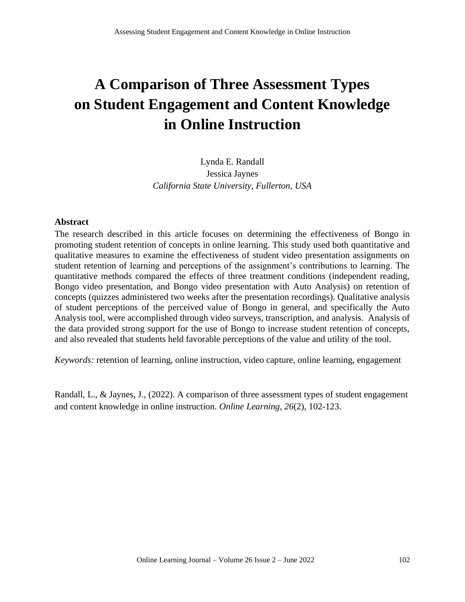# **A Comparison of Three Assessment Types on Student Engagement and Content Knowledge in Online Instruction**

Lynda E. Randall Jessica Jaynes *California State University, Fullerton, USA*

#### **Abstract**

The research described in this article focuses on determining the effectiveness of Bongo in promoting student retention of concepts in online learning. This study used both quantitative and qualitative measures to examine the effectiveness of student video presentation assignments on student retention of learning and perceptions of the assignment's contributions to learning. The quantitative methods compared the effects of three treatment conditions (independent reading, Bongo video presentation, and Bongo video presentation with Auto Analysis) on retention of concepts (quizzes administered two weeks after the presentation recordings). Qualitative analysis of student perceptions of the perceived value of Bongo in general, and specifically the Auto Analysis tool, were accomplished through video surveys, transcription, and analysis. Analysis of the data provided strong support for the use of Bongo to increase student retention of concepts, and also revealed that students held favorable perceptions of the value and utility of the tool.

*Keywords:* retention of learning, online instruction, video capture, online learning, engagement

Randall, L., & Jaynes, J., (2022). A comparison of three assessment types of student engagement and content knowledge in online instruction. *Online Learning, 26*(2), 102-123.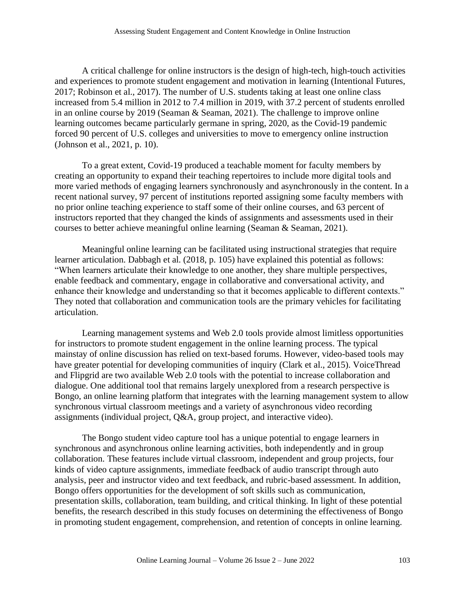A critical challenge for online instructors is the design of high-tech, high-touch activities and experiences to promote student engagement and motivation in learning (Intentional Futures, 2017; Robinson et al., 2017). The number of U.S. students taking at least one online class increased from 5.4 million in 2012 to 7.4 million in 2019, with 37.2 percent of students enrolled in an online course by 2019 (Seaman & Seaman, 2021). The challenge to improve online learning outcomes became particularly germane in spring, 2020, as the Covid-19 pandemic forced 90 percent of U.S. colleges and universities to move to emergency online instruction (Johnson et al., 2021, p. 10).

To a great extent, Covid-19 produced a teachable moment for faculty members by creating an opportunity to expand their teaching repertoires to include more digital tools and more varied methods of engaging learners synchronously and asynchronously in the content. In a recent national survey, 97 percent of institutions reported assigning some faculty members with no prior online teaching experience to staff some of their online courses, and 63 percent of instructors reported that they changed the kinds of assignments and assessments used in their courses to better achieve meaningful online learning (Seaman & Seaman, 2021).

Meaningful online learning can be facilitated using instructional strategies that require learner articulation. Dabbagh et al. (2018, p. 105) have explained this potential as follows: "When learners articulate their knowledge to one another, they share multiple perspectives, enable feedback and commentary, engage in collaborative and conversational activity, and enhance their knowledge and understanding so that it becomes applicable to different contexts." They noted that collaboration and communication tools are the primary vehicles for facilitating articulation.

Learning management systems and Web 2.0 tools provide almost limitless opportunities for instructors to promote student engagement in the online learning process. The typical mainstay of online discussion has relied on text-based forums. However, video-based tools may have greater potential for developing communities of inquiry (Clark et al., 2015). VoiceThread and Flipgrid are two available Web 2.0 tools with the potential to increase collaboration and dialogue. One additional tool that remains largely unexplored from a research perspective is Bongo, an online learning platform that integrates with the learning management system to allow synchronous virtual classroom meetings and a variety of asynchronous video recording assignments (individual project, Q&A, group project, and interactive video).

The Bongo student video capture tool has a unique potential to engage learners in synchronous and asynchronous online learning activities, both independently and in group collaboration. These features include virtual classroom, independent and group projects, four kinds of video capture assignments, immediate feedback of audio transcript through auto analysis, peer and instructor video and text feedback, and rubric-based assessment. In addition, Bongo offers opportunities for the development of soft skills such as communication, presentation skills, collaboration, team building, and critical thinking. In light of these potential benefits, the research described in this study focuses on determining the effectiveness of Bongo in promoting student engagement, comprehension, and retention of concepts in online learning.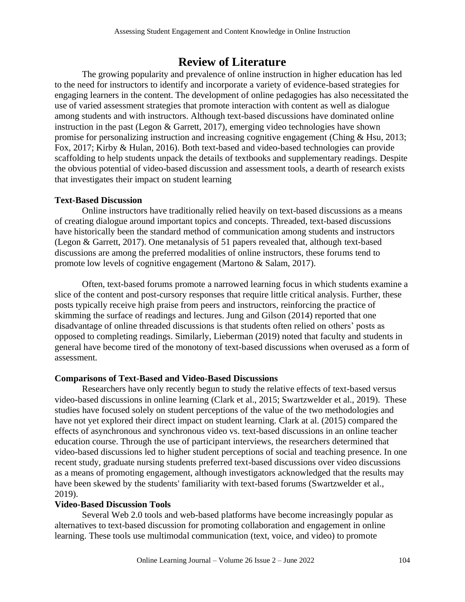# **Review of Literature**

The growing popularity and prevalence of online instruction in higher education has led to the need for instructors to identify and incorporate a variety of evidence-based strategies for engaging learners in the content. The development of online pedagogies has also necessitated the use of varied assessment strategies that promote interaction with content as well as dialogue among students and with instructors. Although text-based discussions have dominated online instruction in the past (Legon & Garrett, 2017), emerging video technologies have shown promise for personalizing instruction and increasing cognitive engagement (Ching & Hsu, 2013; Fox, 2017; Kirby & Hulan, 2016). Both text-based and video-based technologies can provide scaffolding to help students unpack the details of textbooks and supplementary readings. Despite the obvious potential of video-based discussion and assessment tools, a dearth of research exists that investigates their impact on student learning

#### **Text-Based Discussion**

Online instructors have traditionally relied heavily on text-based discussions as a means of creating dialogue around important topics and concepts. Threaded, text-based discussions have historically been the standard method of communication among students and instructors (Legon & Garrett, 2017). One metanalysis of 51 papers revealed that, although text-based discussions are among the preferred modalities of online instructors, these forums tend to promote low levels of cognitive engagement (Martono & Salam, 2017).

Often, text-based forums promote a narrowed learning focus in which students examine a slice of the content and post-cursory responses that require little critical analysis. Further, these posts typically receive high praise from peers and instructors, reinforcing the practice of skimming the surface of readings and lectures. Jung and Gilson (2014) reported that one disadvantage of online threaded discussions is that students often relied on others' posts as opposed to completing readings. Similarly, Lieberman (2019) noted that faculty and students in general have become tired of the monotony of text-based discussions when overused as a form of assessment.

#### **Comparisons of Text-Based and Video-Based Discussions**

Researchers have only recently begun to study the relative effects of text-based versus video-based discussions in online learning (Clark et al., 2015; Swartzwelder et al., 2019). These studies have focused solely on student perceptions of the value of the two methodologies and have not yet explored their direct impact on student learning. Clark at al. (2015) compared the effects of asynchronous and synchronous video vs. text-based discussions in an online teacher education course. Through the use of participant interviews, the researchers determined that video-based discussions led to higher student perceptions of social and teaching presence. In one recent study, graduate nursing students preferred text-based discussions over video discussions as a means of promoting engagement, although investigators acknowledged that the results may have been skewed by the students' familiarity with text-based forums (Swartzwelder et al., 2019).

#### **Video-Based Discussion Tools**

Several Web 2.0 tools and web-based platforms have become increasingly popular as alternatives to text-based discussion for promoting collaboration and engagement in online learning. These tools use multimodal communication (text, voice, and video) to promote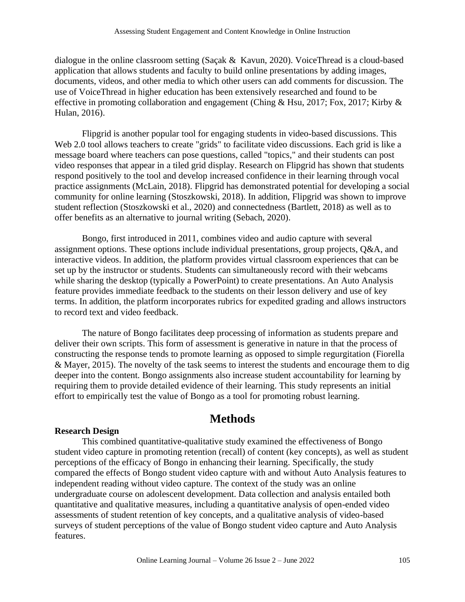dialogue in the online classroom setting (Saçak & Kavun, 2020). VoiceThread is a cloud-based application that allows students and faculty to build online presentations by adding images, documents, videos, and other media to which other users can add comments for discussion. The use of VoiceThread in higher education has been extensively researched and found to be effective in promoting collaboration and engagement (Ching & Hsu, 2017; Fox, 2017; Kirby & Hulan, 2016).

Flipgrid is another popular tool for engaging students in video-based discussions. This Web 2.0 tool allows teachers to create "grids" to facilitate video discussions. Each grid is like a message board where teachers can pose questions, called "topics," and their students can post video responses that appear in a tiled grid display. Research on Flipgrid has shown that students respond positively to the tool and develop increased confidence in their learning through vocal practice assignments (McLain, 2018). Flipgrid has demonstrated potential for developing a social community for online learning (Stoszkowski, 2018). In addition, Flipgrid was shown to improve student reflection (Stoszkowski et al., 2020) and connectedness (Bartlett, 2018) as well as to offer benefits as an alternative to journal writing (Sebach, 2020).

Bongo, first introduced in 2011, combines video and audio capture with several assignment options. These options include individual presentations, group projects, Q&A, and interactive videos. In addition, the platform provides virtual classroom experiences that can be set up by the instructor or students. Students can simultaneously record with their webcams while sharing the desktop (typically a PowerPoint) to create presentations. An Auto Analysis feature provides immediate feedback to the students on their lesson delivery and use of key terms. In addition, the platform incorporates rubrics for expedited grading and allows instructors to record text and video feedback.

The nature of Bongo facilitates deep processing of information as students prepare and deliver their own scripts. This form of assessment is generative in nature in that the process of constructing the response tends to promote learning as opposed to simple regurgitation (Fiorella & Mayer, 2015). The novelty of the task seems to interest the students and encourage them to dig deeper into the content. Bongo assignments also increase student accountability for learning by requiring them to provide detailed evidence of their learning. This study represents an initial effort to empirically test the value of Bongo as a tool for promoting robust learning.

# **Methods**

#### **Research Design**

This combined quantitative-qualitative study examined the effectiveness of Bongo student video capture in promoting retention (recall) of content (key concepts), as well as student perceptions of the efficacy of Bongo in enhancing their learning. Specifically, the study compared the effects of Bongo student video capture with and without Auto Analysis features to independent reading without video capture. The context of the study was an online undergraduate course on adolescent development. Data collection and analysis entailed both quantitative and qualitative measures, including a quantitative analysis of open-ended video assessments of student retention of key concepts, and a qualitative analysis of video-based surveys of student perceptions of the value of Bongo student video capture and Auto Analysis features.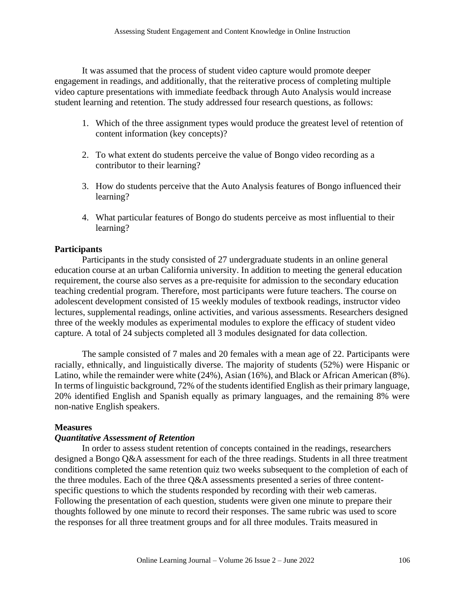It was assumed that the process of student video capture would promote deeper engagement in readings, and additionally, that the reiterative process of completing multiple video capture presentations with immediate feedback through Auto Analysis would increase student learning and retention. The study addressed four research questions, as follows:

- 1. Which of the three assignment types would produce the greatest level of retention of content information (key concepts)?
- 2. To what extent do students perceive the value of Bongo video recording as a contributor to their learning?
- 3. How do students perceive that the Auto Analysis features of Bongo influenced their learning?
- 4. What particular features of Bongo do students perceive as most influential to their learning?

## **Participants**

Participants in the study consisted of 27 undergraduate students in an online general education course at an urban California university. In addition to meeting the general education requirement, the course also serves as a pre-requisite for admission to the secondary education teaching credential program. Therefore, most participants were future teachers. The course on adolescent development consisted of 15 weekly modules of textbook readings, instructor video lectures, supplemental readings, online activities, and various assessments. Researchers designed three of the weekly modules as experimental modules to explore the efficacy of student video capture. A total of 24 subjects completed all 3 modules designated for data collection.

The sample consisted of 7 males and 20 females with a mean age of 22. Participants were racially, ethnically, and linguistically diverse. The majority of students (52%) were Hispanic or Latino, while the remainder were white (24%), Asian (16%), and Black or African American (8%). In terms of linguistic background, 72% of the students identified English as their primary language, 20% identified English and Spanish equally as primary languages, and the remaining 8% were non-native English speakers.

#### **Measures**

#### *Quantitative Assessment of Retention*

In order to assess student retention of concepts contained in the readings, researchers designed a Bongo Q&A assessment for each of the three readings. Students in all three treatment conditions completed the same retention quiz two weeks subsequent to the completion of each of the three modules. Each of the three Q&A assessments presented a series of three contentspecific questions to which the students responded by recording with their web cameras. Following the presentation of each question, students were given one minute to prepare their thoughts followed by one minute to record their responses. The same rubric was used to score the responses for all three treatment groups and for all three modules. Traits measured in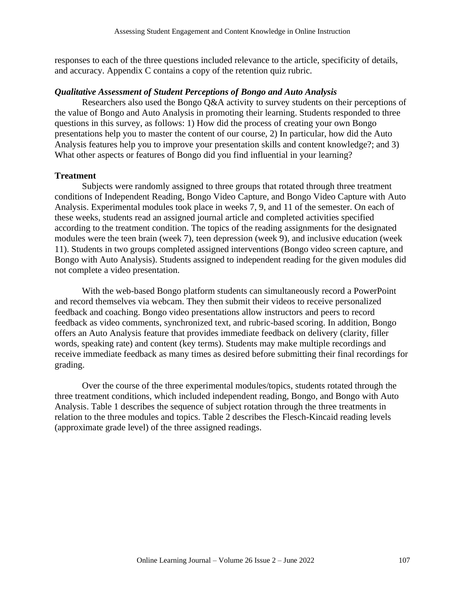responses to each of the three questions included relevance to the article, specificity of details, and accuracy. Appendix C contains a copy of the retention quiz rubric.

#### *Qualitative Assessment of Student Perceptions of Bongo and Auto Analysis*

Researchers also used the Bongo Q&A activity to survey students on their perceptions of the value of Bongo and Auto Analysis in promoting their learning. Students responded to three questions in this survey, as follows: 1) How did the process of creating your own Bongo presentations help you to master the content of our course, 2) In particular, how did the Auto Analysis features help you to improve your presentation skills and content knowledge?; and 3) What other aspects or features of Bongo did you find influential in your learning?

#### **Treatment**

Subjects were randomly assigned to three groups that rotated through three treatment conditions of Independent Reading, Bongo Video Capture, and Bongo Video Capture with Auto Analysis. Experimental modules took place in weeks 7, 9, and 11 of the semester. On each of these weeks, students read an assigned journal article and completed activities specified according to the treatment condition. The topics of the reading assignments for the designated modules were the teen brain (week 7), teen depression (week 9), and inclusive education (week 11). Students in two groups completed assigned interventions (Bongo video screen capture, and Bongo with Auto Analysis). Students assigned to independent reading for the given modules did not complete a video presentation.

With the web-based Bongo platform students can simultaneously record a PowerPoint and record themselves via webcam. They then submit their videos to receive personalized feedback and coaching. Bongo video presentations allow instructors and peers to record feedback as video comments, synchronized text, and rubric-based scoring. In addition, Bongo offers an Auto Analysis feature that provides immediate feedback on delivery (clarity, filler words, speaking rate) and content (key terms). Students may make multiple recordings and receive immediate feedback as many times as desired before submitting their final recordings for grading.

Over the course of the three experimental modules/topics, students rotated through the three treatment conditions, which included independent reading, Bongo, and Bongo with Auto Analysis. Table 1 describes the sequence of subject rotation through the three treatments in relation to the three modules and topics. Table 2 describes the Flesch-Kincaid reading levels (approximate grade level) of the three assigned readings.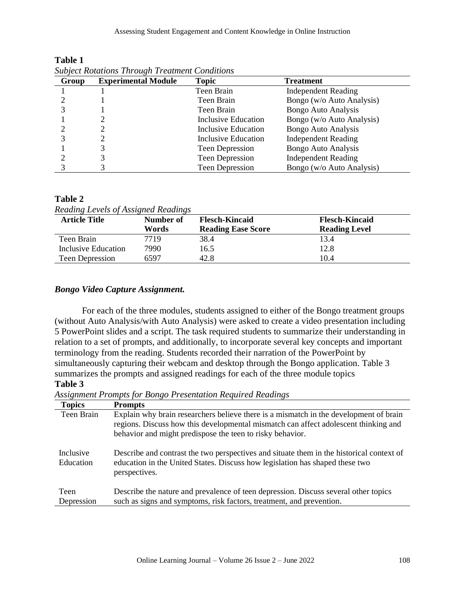| Group | <b>Experimental Module</b> | Topic                  | <b>Treatment</b>           |
|-------|----------------------------|------------------------|----------------------------|
|       |                            | Teen Brain             | <b>Independent Reading</b> |
|       |                            | Teen Brain             | Bongo (w/o Auto Analysis)  |
|       |                            | Teen Brain             | Bongo Auto Analysis        |
|       |                            | Inclusive Education    | Bongo (w/o Auto Analysis)  |
|       |                            | Inclusive Education    | Bongo Auto Analysis        |
|       |                            | Inclusive Education    | <b>Independent Reading</b> |
|       |                            | Teen Depression        | <b>Bongo Auto Analysis</b> |
|       |                            | Teen Depression        | <b>Independent Reading</b> |
|       |                            | <b>Teen Depression</b> | Bongo (w/o Auto Analysis)  |

**Table 1** *Subject Rotations Through Treatment Conditions*

#### **Table 2**

| Reading Levels of Assigned Readings |              |                           |                       |  |  |
|-------------------------------------|--------------|---------------------------|-----------------------|--|--|
| <b>Article Title</b>                | Number of    | <b>Flesch-Kincaid</b>     | <b>Flesch-Kincaid</b> |  |  |
|                                     | <b>Words</b> | <b>Reading Ease Score</b> | <b>Reading Level</b>  |  |  |
| Teen Brain                          | 7719         | 38.4                      | 13.4                  |  |  |
| Inclusive Education                 | 7990         | 16.5                      | 12.8                  |  |  |
| <b>Teen Depression</b>              | 6597         | 42.8                      | 10.4                  |  |  |

# *Reading Levels of Assigned Readings*

#### *Bongo Video Capture Assignment.*

For each of the three modules, students assigned to either of the Bongo treatment groups (without Auto Analysis/with Auto Analysis) were asked to create a video presentation including 5 PowerPoint slides and a script. The task required students to summarize their understanding in relation to a set of prompts, and additionally, to incorporate several key concepts and important terminology from the reading. Students recorded their narration of the PowerPoint by simultaneously capturing their webcam and desktop through the Bongo application. Table 3 summarizes the prompts and assigned readings for each of the three module topics **Table 3**

*Assignment Prompts for Bongo Presentation Required Readings*

| <b>Topics</b>          | <b>Prompts</b>                                                                                                                                                                                                                            |
|------------------------|-------------------------------------------------------------------------------------------------------------------------------------------------------------------------------------------------------------------------------------------|
| Teen Brain             | Explain why brain researchers believe there is a mismatch in the development of brain<br>regions. Discuss how this developmental mismatch can affect adolescent thinking and<br>behavior and might predispose the teen to risky behavior. |
| Inclusive<br>Education | Describe and contrast the two perspectives and situate them in the historical context of<br>education in the United States. Discuss how legislation has shaped these two<br>perspectives.                                                 |
| Teen                   | Describe the nature and prevalence of teen depression. Discuss several other topics                                                                                                                                                       |
| Depression             | such as signs and symptoms, risk factors, treatment, and prevention.                                                                                                                                                                      |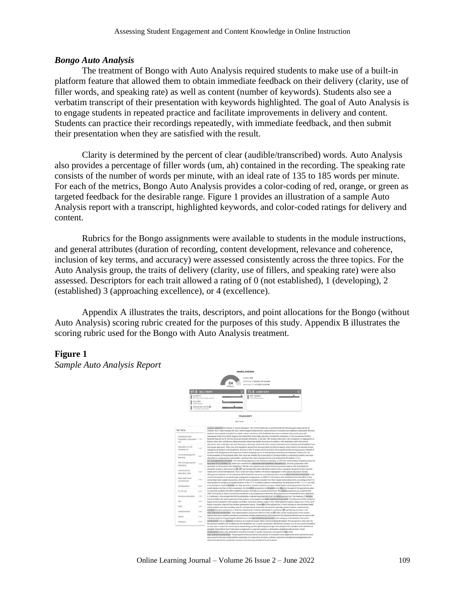#### *Bongo Auto Analysis*

The treatment of Bongo with Auto Analysis required students to make use of a built-in platform feature that allowed them to obtain immediate feedback on their delivery (clarity, use of filler words, and speaking rate) as well as content (number of keywords). Students also see a verbatim transcript of their presentation with keywords highlighted. The goal of Auto Analysis is to engage students in repeated practice and facilitate improvements in delivery and content. Students can practice their recordings repeatedly, with immediate feedback, and then submit their presentation when they are satisfied with the result.

Clarity is determined by the percent of clear (audible/transcribed) words. Auto Analysis also provides a percentage of filler words (um, ah) contained in the recording. The speaking rate consists of the number of words per minute, with an ideal rate of 135 to 185 words per minute. For each of the metrics, Bongo Auto Analysis provides a color-coding of red, orange, or green as targeted feedback for the desirable range. Figure 1 provides an illustration of a sample Auto Analysis report with a transcript, highlighted keywords, and color-coded ratings for delivery and content.

Rubrics for the Bongo assignments were available to students in the module instructions, and general attributes (duration of recording, content development, relevance and coherence, inclusion of key terms, and accuracy) were assessed consistently across the three topics. For the Auto Analysis group, the traits of delivery (clarity, use of fillers, and speaking rate) were also assessed. Descriptors for each trait allowed a rating of 0 (not established), 1 (developing), 2 (established) 3 (approaching excellence), or 4 (excellence).

Appendix A illustrates the traits, descriptors, and point allocations for the Bongo (without Auto Analysis) scoring rubric created for the purposes of this study. Appendix B illustrates the scoring rubric used for the Bongo with Auto Analysis treatment.

#### **Figure 1**

*Sample Auto Analysis Report*

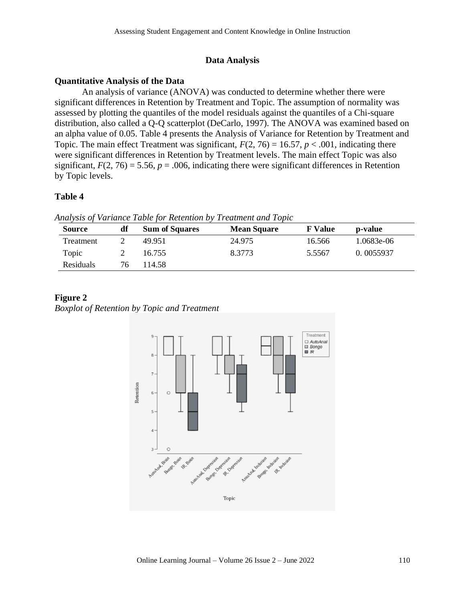#### **Data Analysis**

#### **Quantitative Analysis of the Data**

An analysis of variance (ANOVA) was conducted to determine whether there were significant differences in Retention by Treatment and Topic. The assumption of normality was assessed by plotting the quantiles of the model residuals against the quantiles of a Chi-square distribution, also called a Q-Q scatterplot (DeCarlo, 1997). The ANOVA was examined based on an alpha value of 0.05. Table 4 presents the Analysis of Variance for Retention by Treatment and Topic. The main effect Treatment was significant,  $F(2, 76) = 16.57$ ,  $p < .001$ , indicating there were significant differences in Retention by Treatment levels. The main effect Topic was also significant,  $F(2, 76) = 5.56$ ,  $p = .006$ , indicating there were significant differences in Retention by Topic levels.

#### **Table 4**

*Analysis of Variance Table for Retention by Treatment and Topic*

| <b>Source</b> | df | <b>Sum of Squares</b> | <b>Mean Square</b> | <b>F</b> Value | p-value    |
|---------------|----|-----------------------|--------------------|----------------|------------|
| Treatment     |    | 49.951                | 24.975             | 16.566         | 1.0683e-06 |
| Topic         |    | 16.755                | 8.3773             | 5.5567         | 0.0055937  |
| Residuals     | 76 | 14.58                 |                    |                |            |

#### **Figure 2**

*Boxplot of Retention by Topic and Treatment*

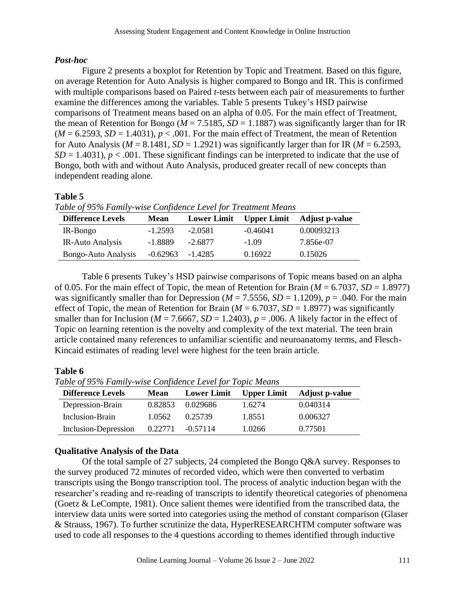## *Post-hoc*

Figure 2 presents a boxplot for Retention by Topic and Treatment. Based on this figure, on average Retention for Auto Analysis is higher compared to Bongo and IR. This is confirmed with multiple comparisons based on Paired *t*-tests between each pair of measurements to further examine the differences among the variables. Table 5 presents Tukey's HSD pairwise comparisons of Treatment means based on an alpha of 0.05. For the main effect of Treatment, the mean of Retention for Bongo ( $M = 7.5185$ ,  $SD = 1.1887$ ) was significantly larger than for IR  $(M = 6.2593, SD = 1.4031), p < .001$ . For the main effect of Treatment, the mean of Retention for Auto Analysis ( $M = 8.1481$ ,  $SD = 1.2921$ ) was significantly larger than for IR ( $M = 6.2593$ ,  $SD = 1.4031$ ,  $p < .001$ . These significant findings can be interpreted to indicate that the use of Bongo, both with and without Auto Analysis, produced greater recall of new concepts than independent reading alone.

# **Table 5**

|  |  | Table of 95% Family-wise Confidence Level for Treatment Means |  |
|--|--|---------------------------------------------------------------|--|
|  |  |                                                               |  |

| <b>Difference Levels</b> | <b>Mean</b>        | <b>Lower Limit</b> | <b>Upper Limit</b> | <b>Adjust p-value</b> |
|--------------------------|--------------------|--------------------|--------------------|-----------------------|
| IR-Bongo                 | $-1.2593$          | $-2.0581$          | $-0.46041$         | 0.00093213            |
| IR-Auto Analysis         | -1.8889            | $-2.6877$          | $-1.09$            | 7.856e-07             |
| Bongo-Auto Analysis      | $-0.62963 -1.4285$ |                    | 0.16922            | 0.15026               |

Table 6 presents Tukey's HSD pairwise comparisons of Topic means based on an alpha of 0.05. For the main effect of Topic, the mean of Retention for Brain  $(M = 6.7037, SD = 1.8977)$ was significantly smaller than for Depression ( $M = 7.5556$ ,  $SD = 1.1209$ ),  $p = .040$ . For the main effect of Topic, the mean of Retention for Brain ( $M = 6.7037$ ,  $SD = 1.8977$ ) was significantly smaller than for Inclusion ( $M = 7.6667$ ,  $SD = 1.2403$ ),  $p = .006$ . A likely factor in the effect of Topic on learning retention is the novelty and complexity of the text material. The teen brain article contained many references to unfamiliar scientific and neuroanatomy terms, and Flesch-Kincaid estimates of reading level were highest for the teen brain article.

# **Table 6**<br>**T**<sub>b</sub> *L*<sub>1</sub></sub> *c*<sub>2</sub> *c***<sub>2</sub>** *c***<sub>2</sub>** *c***<sub>2</sub>** *i***<sub>2</sub>** *i***<sub>2</sub>** *i***<sub>2</sub>** *i***<sub>2</sub>**

| Table of 95% Family-wise Confidence Level for Topic Means |      |  |   |                                        |  |  |
|-----------------------------------------------------------|------|--|---|----------------------------------------|--|--|
| <b>Difference Levels</b>                                  | Mean |  |   | Lower Limit Upper Limit Adjust p-value |  |  |
|                                                           |      |  | . | .                                      |  |  |

| Difference Levels    | <b>Mean</b> |            |        | Lower Limit Upper Limit Adjust p-value |
|----------------------|-------------|------------|--------|----------------------------------------|
| Depression-Brain     | 0.82853     | 0.029686   | 1.6274 | 0.040314                               |
| Inclusion-Brain      | 1.0562      | 0.25739    | 1.8551 | 0.006327                               |
| Inclusion-Depression | 0.22771     | $-0.57114$ | 1.0266 | 0.77501                                |

## **Qualitative Analysis of the Data**

Of the total sample of 27 subjects, 24 completed the Bongo Q&A survey. Responses to the survey produced 72 minutes of recorded video, which were then converted to verbatim transcripts using the Bongo transcription tool. The process of analytic induction began with the researcher's reading and re-reading of transcripts to identify theoretical categories of phenomena (Goetz & LeCompte, 1981). Once salient themes were identified from the transcribed data, the interview data units were sorted into categories using the method of constant comparison (Glaser & Strauss, 1967). To further scrutinize the data, HyperRESEARCHTM computer software was used to code all responses to the 4 questions according to themes identified through inductive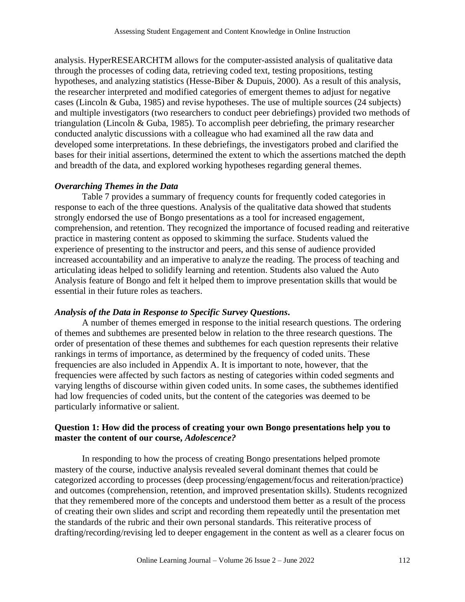analysis. HyperRESEARCHTM allows for the computer-assisted analysis of qualitative data through the processes of coding data, retrieving coded text, testing propositions, testing hypotheses, and analyzing statistics (Hesse-Biber & Dupuis, 2000). As a result of this analysis, the researcher interpreted and modified categories of emergent themes to adjust for negative cases (Lincoln & Guba, 1985) and revise hypotheses. The use of multiple sources (24 subjects) and multiple investigators (two researchers to conduct peer debriefings) provided two methods of triangulation (Lincoln & Guba, 1985). To accomplish peer debriefing, the primary researcher conducted analytic discussions with a colleague who had examined all the raw data and developed some interpretations. In these debriefings, the investigators probed and clarified the bases for their initial assertions, determined the extent to which the assertions matched the depth and breadth of the data, and explored working hypotheses regarding general themes.

## *Overarching Themes in the Data*

Table 7 provides a summary of frequency counts for frequently coded categories in response to each of the three questions. Analysis of the qualitative data showed that students strongly endorsed the use of Bongo presentations as a tool for increased engagement, comprehension, and retention. They recognized the importance of focused reading and reiterative practice in mastering content as opposed to skimming the surface. Students valued the experience of presenting to the instructor and peers, and this sense of audience provided increased accountability and an imperative to analyze the reading. The process of teaching and articulating ideas helped to solidify learning and retention. Students also valued the Auto Analysis feature of Bongo and felt it helped them to improve presentation skills that would be essential in their future roles as teachers.

## *Analysis of the Data in Response to Specific Survey Questions.*

A number of themes emerged in response to the initial research questions. The ordering of themes and subthemes are presented below in relation to the three research questions. The order of presentation of these themes and subthemes for each question represents their relative rankings in terms of importance, as determined by the frequency of coded units. These frequencies are also included in Appendix A. It is important to note, however, that the frequencies were affected by such factors as nesting of categories within coded segments and varying lengths of discourse within given coded units. In some cases, the subthemes identified had low frequencies of coded units, but the content of the categories was deemed to be particularly informative or salient.

### **Question 1: How did the process of creating your own Bongo presentations help you to master the content of our course,** *Adolescence?*

In responding to how the process of creating Bongo presentations helped promote mastery of the course, inductive analysis revealed several dominant themes that could be categorized according to processes (deep processing/engagement/focus and reiteration/practice) and outcomes (comprehension, retention, and improved presentation skills). Students recognized that they remembered more of the concepts and understood them better as a result of the process of creating their own slides and script and recording them repeatedly until the presentation met the standards of the rubric and their own personal standards. This reiterative process of drafting/recording/revising led to deeper engagement in the content as well as a clearer focus on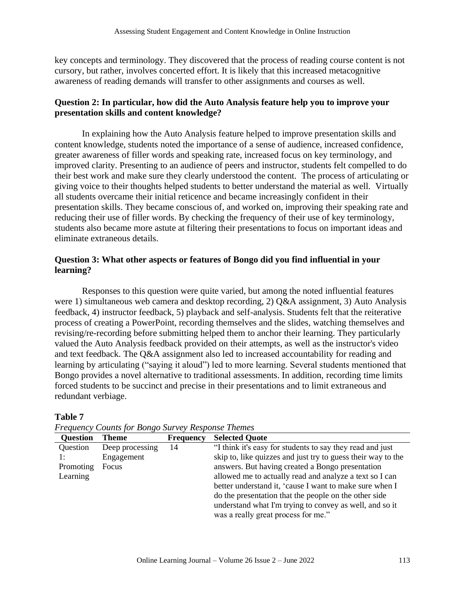key concepts and terminology. They discovered that the process of reading course content is not cursory, but rather, involves concerted effort. It is likely that this increased metacognitive awareness of reading demands will transfer to other assignments and courses as well.

### **Question 2: In particular, how did the Auto Analysis feature help you to improve your presentation skills and content knowledge?**

In explaining how the Auto Analysis feature helped to improve presentation skills and content knowledge, students noted the importance of a sense of audience, increased confidence, greater awareness of filler words and speaking rate, increased focus on key terminology, and improved clarity. Presenting to an audience of peers and instructor, students felt compelled to do their best work and make sure they clearly understood the content. The process of articulating or giving voice to their thoughts helped students to better understand the material as well. Virtually all students overcame their initial reticence and became increasingly confident in their presentation skills. They became conscious of, and worked on, improving their speaking rate and reducing their use of filler words. By checking the frequency of their use of key terminology, students also became more astute at filtering their presentations to focus on important ideas and eliminate extraneous details.

### **Question 3: What other aspects or features of Bongo did you find influential in your learning?**

Responses to this question were quite varied, but among the noted influential features were 1) simultaneous web camera and desktop recording, 2) Q&A assignment, 3) Auto Analysis feedback, 4) instructor feedback, 5) playback and self-analysis. Students felt that the reiterative process of creating a PowerPoint, recording themselves and the slides, watching themselves and revising/re-recording before submitting helped them to anchor their learning. They particularly valued the Auto Analysis feedback provided on their attempts, as well as the instructor's video and text feedback. The Q&A assignment also led to increased accountability for reading and learning by articulating ("saying it aloud") led to more learning. Several students mentioned that Bongo provides a novel alternative to traditional assessments. In addition, recording time limits forced students to be succinct and precise in their presentations and to limit extraneous and redundant verbiage.

#### **Table 7**

| <b>Question</b> | Theme           | <b>Frequency</b> | <b>Selected Quote</b>                                        |
|-----------------|-----------------|------------------|--------------------------------------------------------------|
| Question        | Deep processing | 14               | "I think it's easy for students to say they read and just    |
|                 | Engagement      |                  | skip to, like quizzes and just try to guess their way to the |
| Promoting       | Focus           |                  | answers. But having created a Bongo presentation             |
| Learning        |                 |                  | allowed me to actually read and analyze a text so I can      |
|                 |                 |                  | better understand it, 'cause I want to make sure when I      |
|                 |                 |                  | do the presentation that the people on the other side        |
|                 |                 |                  | understand what I'm trying to convey as well, and so it      |
|                 |                 |                  | was a really great process for me."                          |

*Frequency Counts for Bongo Survey Response Themes*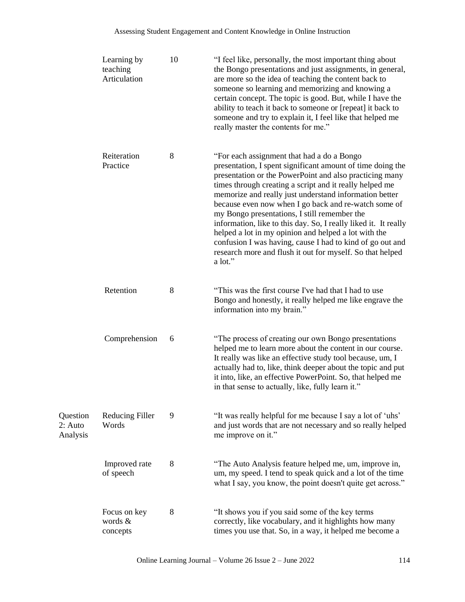|                                 | Learning by<br>teaching<br>Articulation | 10 | "I feel like, personally, the most important thing about<br>the Bongo presentations and just assignments, in general,<br>are more so the idea of teaching the content back to<br>someone so learning and memorizing and knowing a<br>certain concept. The topic is good. But, while I have the<br>ability to teach it back to someone or [repeat] it back to<br>someone and try to explain it, I feel like that helped me<br>really master the contents for me."                                                                                                                                                                                                  |
|---------------------------------|-----------------------------------------|----|-------------------------------------------------------------------------------------------------------------------------------------------------------------------------------------------------------------------------------------------------------------------------------------------------------------------------------------------------------------------------------------------------------------------------------------------------------------------------------------------------------------------------------------------------------------------------------------------------------------------------------------------------------------------|
|                                 | Reiteration<br>Practice                 | 8  | "For each assignment that had a do a Bongo"<br>presentation, I spent significant amount of time doing the<br>presentation or the PowerPoint and also practicing many<br>times through creating a script and it really helped me<br>memorize and really just understand information better<br>because even now when I go back and re-watch some of<br>my Bongo presentations, I still remember the<br>information, like to this day. So, I really liked it. It really<br>helped a lot in my opinion and helped a lot with the<br>confusion I was having, cause I had to kind of go out and<br>research more and flush it out for myself. So that helped<br>a lot." |
|                                 | Retention                               | 8  | "This was the first course I've had that I had to use<br>Bongo and honestly, it really helped me like engrave the<br>information into my brain."                                                                                                                                                                                                                                                                                                                                                                                                                                                                                                                  |
|                                 | Comprehension                           | 6  | "The process of creating our own Bongo presentations<br>helped me to learn more about the content in our course.<br>It really was like an effective study tool because, um, I<br>actually had to, like, think deeper about the topic and put<br>it into, like, an effective PowerPoint. So, that helped me<br>in that sense to actually, like, fully learn it."                                                                                                                                                                                                                                                                                                   |
| Question<br>2: Auto<br>Analysis | <b>Reducing Filler</b><br>Words         | 9  | "It was really helpful for me because I say a lot of 'uhs'<br>and just words that are not necessary and so really helped<br>me improve on it."                                                                                                                                                                                                                                                                                                                                                                                                                                                                                                                    |
|                                 | Improved rate<br>of speech              | 8  | "The Auto Analysis feature helped me, um, improve in,<br>um, my speed. I tend to speak quick and a lot of the time<br>what I say, you know, the point doesn't quite get across."                                                                                                                                                                                                                                                                                                                                                                                                                                                                                  |
|                                 | Focus on key<br>words &<br>concepts     | 8  | "It shows you if you said some of the key terms<br>correctly, like vocabulary, and it highlights how many<br>times you use that. So, in a way, it helped me become a                                                                                                                                                                                                                                                                                                                                                                                                                                                                                              |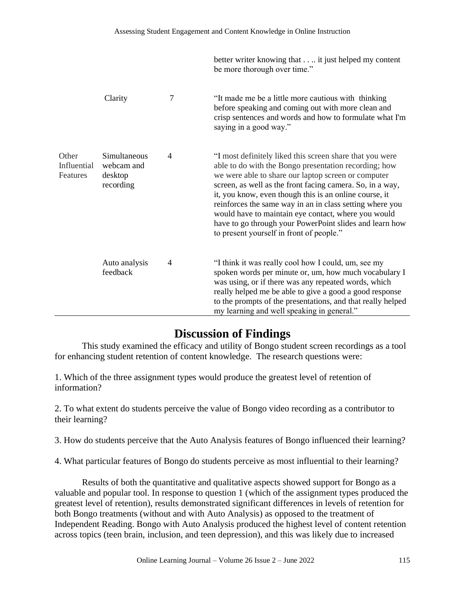|                                  |                                                    |   | better writer knowing that it just helped my content<br>be more thorough over time."                                                                                                                                                                                                                                                                                                                                                                                                                                      |
|----------------------------------|----------------------------------------------------|---|---------------------------------------------------------------------------------------------------------------------------------------------------------------------------------------------------------------------------------------------------------------------------------------------------------------------------------------------------------------------------------------------------------------------------------------------------------------------------------------------------------------------------|
|                                  | Clarity                                            | 7 | "It made me be a little more cautious with thinking"<br>before speaking and coming out with more clean and<br>crisp sentences and words and how to formulate what I'm<br>saying in a good way."                                                                                                                                                                                                                                                                                                                           |
| Other<br>Influential<br>Features | Simultaneous<br>webcam and<br>desktop<br>recording | 4 | "I most definitely liked this screen share that you were<br>able to do with the Bongo presentation recording; how<br>we were able to share our laptop screen or computer<br>screen, as well as the front facing camera. So, in a way,<br>it, you know, even though this is an online course, it<br>reinforces the same way in an in class setting where you<br>would have to maintain eye contact, where you would<br>have to go through your PowerPoint slides and learn how<br>to present yourself in front of people." |
|                                  | Auto analysis<br>feedback                          | 4 | "I think it was really cool how I could, um, see my<br>spoken words per minute or, um, how much vocabulary I<br>was using, or if there was any repeated words, which<br>really helped me be able to give a good a good response<br>to the prompts of the presentations, and that really helped<br>my learning and well speaking in general."                                                                                                                                                                              |

# **Discussion of Findings**

This study examined the efficacy and utility of Bongo student screen recordings as a tool for enhancing student retention of content knowledge. The research questions were:

1. Which of the three assignment types would produce the greatest level of retention of information?

2. To what extent do students perceive the value of Bongo video recording as a contributor to their learning?

3. How do students perceive that the Auto Analysis features of Bongo influenced their learning?

4. What particular features of Bongo do students perceive as most influential to their learning?

Results of both the quantitative and qualitative aspects showed support for Bongo as a valuable and popular tool. In response to question 1 (which of the assignment types produced the greatest level of retention), results demonstrated significant differences in levels of retention for both Bongo treatments (without and with Auto Analysis) as opposed to the treatment of Independent Reading. Bongo with Auto Analysis produced the highest level of content retention across topics (teen brain, inclusion, and teen depression), and this was likely due to increased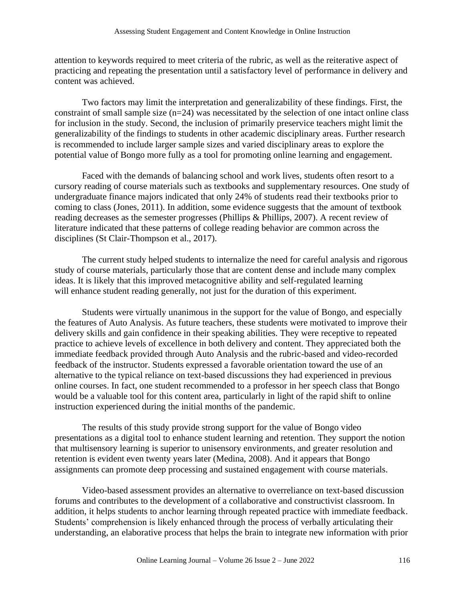attention to keywords required to meet criteria of the rubric, as well as the reiterative aspect of practicing and repeating the presentation until a satisfactory level of performance in delivery and content was achieved.

Two factors may limit the interpretation and generalizability of these findings. First, the constraint of small sample size (n=24) was necessitated by the selection of one intact online class for inclusion in the study. Second, the inclusion of primarily preservice teachers might limit the generalizability of the findings to students in other academic disciplinary areas. Further research is recommended to include larger sample sizes and varied disciplinary areas to explore the potential value of Bongo more fully as a tool for promoting online learning and engagement.

Faced with the demands of balancing school and work lives, students often resort to a cursory reading of course materials such as textbooks and supplementary resources. One study of undergraduate finance majors indicated that only 24% of students read their textbooks prior to coming to class (Jones, 2011). In addition, some evidence suggests that the amount of textbook reading decreases as the semester progresses (Phillips & Phillips, 2007). A recent review of literature indicated that these patterns of college reading behavior are common across the disciplines (St Clair-Thompson et al., 2017).

The current study helped students to internalize the need for careful analysis and rigorous study of course materials, particularly those that are content dense and include many complex ideas. It is likely that this improved metacognitive ability and self-regulated learning will enhance student reading generally, not just for the duration of this experiment.

Students were virtually unanimous in the support for the value of Bongo, and especially the features of Auto Analysis. As future teachers, these students were motivated to improve their delivery skills and gain confidence in their speaking abilities. They were receptive to repeated practice to achieve levels of excellence in both delivery and content. They appreciated both the immediate feedback provided through Auto Analysis and the rubric-based and video-recorded feedback of the instructor. Students expressed a favorable orientation toward the use of an alternative to the typical reliance on text-based discussions they had experienced in previous online courses. In fact, one student recommended to a professor in her speech class that Bongo would be a valuable tool for this content area, particularly in light of the rapid shift to online instruction experienced during the initial months of the pandemic.

The results of this study provide strong support for the value of Bongo video presentations as a digital tool to enhance student learning and retention. They support the notion that multisensory learning is superior to unisensory environments, and greater resolution and retention is evident even twenty years later (Medina, 2008). And it appears that Bongo assignments can promote deep processing and sustained engagement with course materials.

Video-based assessment provides an alternative to overreliance on text-based discussion forums and contributes to the development of a collaborative and constructivist classroom. In addition, it helps students to anchor learning through repeated practice with immediate feedback. Students' comprehension is likely enhanced through the process of verbally articulating their understanding, an elaborative process that helps the brain to integrate new information with prior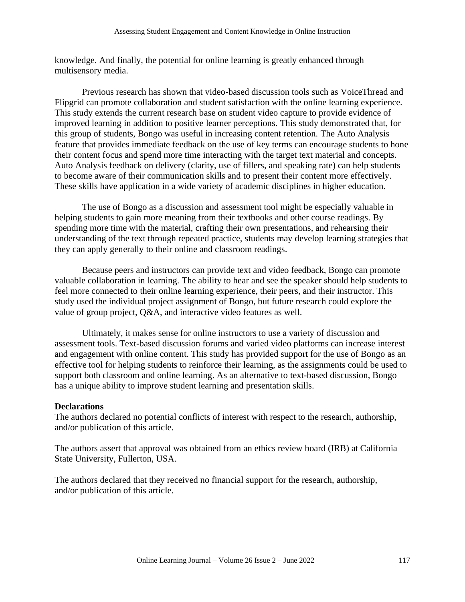knowledge. And finally, the potential for online learning is greatly enhanced through multisensory media.

Previous research has shown that video-based discussion tools such as VoiceThread and Flipgrid can promote collaboration and student satisfaction with the online learning experience. This study extends the current research base on student video capture to provide evidence of improved learning in addition to positive learner perceptions. This study demonstrated that, for this group of students, Bongo was useful in increasing content retention. The Auto Analysis feature that provides immediate feedback on the use of key terms can encourage students to hone their content focus and spend more time interacting with the target text material and concepts. Auto Analysis feedback on delivery (clarity, use of fillers, and speaking rate) can help students to become aware of their communication skills and to present their content more effectively. These skills have application in a wide variety of academic disciplines in higher education.

The use of Bongo as a discussion and assessment tool might be especially valuable in helping students to gain more meaning from their textbooks and other course readings. By spending more time with the material, crafting their own presentations, and rehearsing their understanding of the text through repeated practice, students may develop learning strategies that they can apply generally to their online and classroom readings.

Because peers and instructors can provide text and video feedback, Bongo can promote valuable collaboration in learning. The ability to hear and see the speaker should help students to feel more connected to their online learning experience, their peers, and their instructor. This study used the individual project assignment of Bongo, but future research could explore the value of group project, Q&A, and interactive video features as well.

Ultimately, it makes sense for online instructors to use a variety of discussion and assessment tools. Text-based discussion forums and varied video platforms can increase interest and engagement with online content. This study has provided support for the use of Bongo as an effective tool for helping students to reinforce their learning, as the assignments could be used to support both classroom and online learning. As an alternative to text-based discussion, Bongo has a unique ability to improve student learning and presentation skills.

#### **Declarations**

The authors declared no potential conflicts of interest with respect to the research, authorship, and/or publication of this article.

The authors assert that approval was obtained from an ethics review board (IRB) at California State University, Fullerton, USA.

The authors declared that they received no financial support for the research, authorship, and/or publication of this article.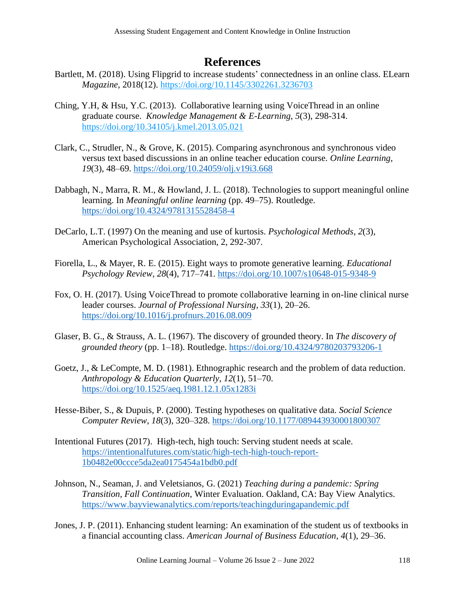# **References**

- Bartlett, M. (2018). Using Flipgrid to increase students' connectedness in an online class. ELearn *Magazine*, 2018(12).<https://doi.org/10.1145/3302261.3236703>
- Ching, Y.H, & Hsu, Y.C. (2013). Collaborative learning using VoiceThread in an online graduate course. *Knowledge Management & E-Learning*, *5*(3), 298-314. <https://doi.org/10.34105/j.kmel.2013.05.021>
- Clark, C., Strudler, N., & Grove, K. (2015). Comparing asynchronous and synchronous video versus text based discussions in an online teacher education course. *Online Learning*, *19*(3), 48–69.<https://doi.org/10.24059/olj.v19i3.668>
- Dabbagh, N., Marra, R. M., & Howland, J. L. (2018). Technologies to support meaningful online learning. In *Meaningful online learning* (pp. 49–75). Routledge. <https://doi.org/10.4324/9781315528458-4>
- DeCarlo, L.T. (1997) On the meaning and use of kurtosis. *Psychological Methods*, *2*(3), American Psychological Association, 2, 292-307.
- Fiorella, L., & Mayer, R. E. (2015). Eight ways to promote generative learning. *Educational Psychology Review*, *28*(4), 717–741.<https://doi.org/10.1007/s10648-015-9348-9>
- Fox, O. H. (2017). Using VoiceThread to promote collaborative learning in on-line clinical nurse leader courses. *Journal of Professional Nursing*, *33*(1), 20–26. <https://doi.org/10.1016/j.profnurs.2016.08.009>
- Glaser, B. G., & Strauss, A. L. (1967). The discovery of grounded theory. In *The discovery of grounded theory* (pp. 1–18). Routledge.<https://doi.org/10.4324/9780203793206-1>
- Goetz, J., & LeCompte, M. D. (1981). Ethnographic research and the problem of data reduction. *Anthropology & Education Quarterly*, *12*(1), 51–70. <https://doi.org/10.1525/aeq.1981.12.1.05x1283i>
- Hesse-Biber, S., & Dupuis, P. (2000). Testing hypotheses on qualitative data. *Social Science Computer Review*, *18*(3), 320–328.<https://doi.org/10.1177/089443930001800307>
- Intentional Futures (2017). High-tech, high touch: Serving student needs at scale. [https://intentionalfutures.com/static/high-tech-high-touch-report-](https://intentionalfutures.com/static/high-tech-high-touch-report-1b0482e00ccce5da2ea0175454a1bdb0.pdf)[1b0482e00ccce5da2ea0175454a1bdb0.pdf](https://intentionalfutures.com/static/high-tech-high-touch-report-1b0482e00ccce5da2ea0175454a1bdb0.pdf)
- Johnson, N., Seaman, J. and Veletsianos, G. (2021) *[Teaching during a pandemic: Spring](https://www.bayviewanalytics.com/reports/teachingduringapandemic.pdf)  [Transition, Fall Continuation](https://www.bayviewanalytics.com/reports/teachingduringapandemic.pdf)*, Winter Evaluation. Oakland, CA: Bay View Analytics. [https://www.bayviewanalytics.com/reports/teachingduringapandemic.pdf](file://///users/lyndarandall/Desktop/Bongo%20Study/Revisions%20for%20Resubmission/Johnson,%20N.,%20Seaman,%20J.%20and%20Veletsianos,%20G.%20(2021)%20Teaching%20during%20a%20pandemic:%20Spring%20Transition,%20Fall%20Continuation,%20Winter%20Evaluation.%20Oakland,%20CA:%20Bay%20View%20Analytics.%20https:/www.bayviewanalytics.com/reports/teachingduringapandemic.pdf)
- Jones, J. P. (2011). Enhancing student learning: An examination of the student us of textbooks in a financial accounting class. *American Journal of Business Education*, *4*(1), 29–36.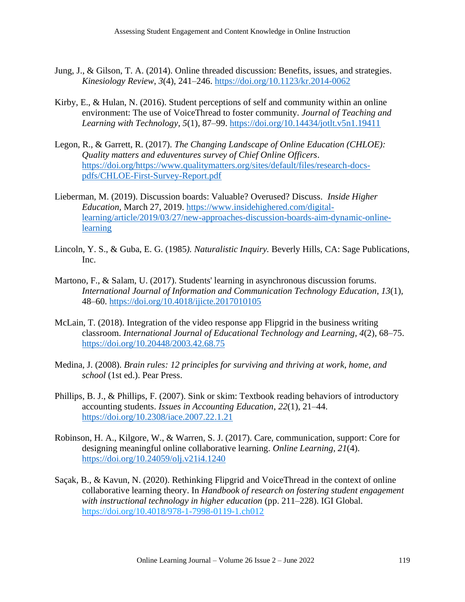- Jung, J., & Gilson, T. A. (2014). Online threaded discussion: Benefits, issues, and strategies. *Kinesiology Review*, *3*(4), 241–246.<https://doi.org/10.1123/kr.2014-0062>
- Kirby, E., & Hulan, N. (2016). Student perceptions of self and community within an online environment: The use of VoiceThread to foster community. *Journal of Teaching and Learning with Technology*, *5*(1), 87–99.<https://doi.org/10.14434/jotlt.v5n1.19411>
- Legon, R., & Garrett, R. (2017). *The Changing Landscape of Online Education (CHLOE): Quality matters and eduventures survey of Chief Online Officers*. [https://doi.org/https://www.qualitymatters.org/sites/default/files/research-docs](https://doi.org/https:/www.qualitymatters.org/sites/default/files/research-docs-pdfs/CHLOE-First-Survey-Report.pdf)[pdfs/CHLOE-First-Survey-Report.pdf](https://doi.org/https:/www.qualitymatters.org/sites/default/files/research-docs-pdfs/CHLOE-First-Survey-Report.pdf)
- Lieberman, M. (2019). Discussion boards: Valuable? Overused? Discuss. *Inside Higher Education,* March 27, 2019. [https://www.insidehighered.com/digital](https://www.insidehighered.com/digital-learning/article/2019/03/27/new-approaches-discussion-boards-aim-dynamic-online-learning)[learning/article/2019/03/27/new-approaches-discussion-boards-aim-dynamic-online](https://www.insidehighered.com/digital-learning/article/2019/03/27/new-approaches-discussion-boards-aim-dynamic-online-learning)[learning](https://www.insidehighered.com/digital-learning/article/2019/03/27/new-approaches-discussion-boards-aim-dynamic-online-learning)
- Lincoln, Y. S., & Guba, E. G. (1985*). Naturalistic Inquiry.* Beverly Hills, CA: Sage Publications, Inc.
- Martono, F., & Salam, U. (2017). Students' learning in asynchronous discussion forums. *International Journal of Information and Communication Technology Education*, *13*(1), 48–60.<https://doi.org/10.4018/ijicte.2017010105>
- McLain, T. (2018). Integration of the video response app Flipgrid in the business writing classroom. *International Journal of Educational Technology and Learning*, *4*(2), 68–75. <https://doi.org/10.20448/2003.42.68.75>
- Medina, J. (2008). *Brain rules: 12 principles for surviving and thriving at work, home, and school* (1st ed.). Pear Press.
- Phillips, B. J., & Phillips, F. (2007). Sink or skim: Textbook reading behaviors of introductory accounting students. *Issues in Accounting Education*, *22*(1), 21–44. <https://doi.org/10.2308/iace.2007.22.1.21>
- Robinson, H. A., Kilgore, W., & Warren, S. J. (2017). Care, communication, support: Core for designing meaningful online collaborative learning. *Online Learning*, *21*(4). <https://doi.org/10.24059/olj.v21i4.1240>
- Saçak, B., & Kavun, N. (2020). Rethinking Flipgrid and VoiceThread in the context of online collaborative learning theory. In *Handbook of research on fostering student engagement with instructional technology in higher education* (pp. 211–228). IGI Global. <https://doi.org/10.4018/978-1-7998-0119-1.ch012>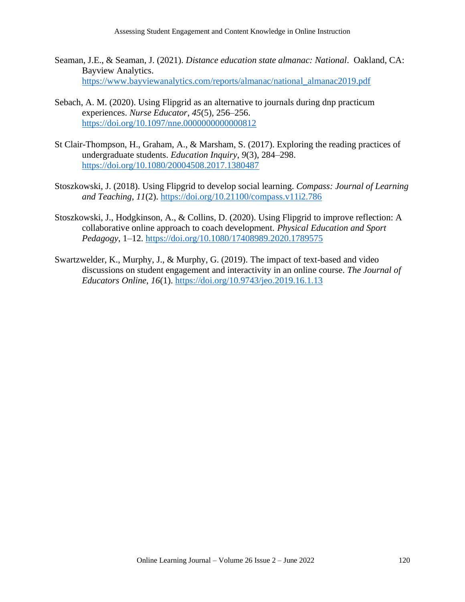- Seaman, J.E., & Seaman, J. (2021). *Distance education state almanac: National*. Oakland, CA: Bayview Analytics. [https://www.bayviewanalytics.com/reports/almanac/national\\_almanac2019.pdf](https://www.bayviewanalytics.com/reports/almanac/national_almanac2019.pdf)
- Sebach, A. M. (2020). Using Flipgrid as an alternative to journals during dnp practicum experiences. *Nurse Educator*, *45*(5), 256–256. https://doi.org/10.1097/nne.00000000000000812
- St Clair-Thompson, H., Graham, A., & Marsham, S. (2017). Exploring the reading practices of undergraduate students. *Education Inquiry*, *9*(3), 284–298. <https://doi.org/10.1080/20004508.2017.1380487>
- Stoszkowski, J. (2018). Using Flipgrid to develop social learning. *Compass: Journal of Learning and Teaching*, *11*(2).<https://doi.org/10.21100/compass.v11i2.786>
- Stoszkowski, J., Hodgkinson, A., & Collins, D. (2020). Using Flipgrid to improve reflection: A collaborative online approach to coach development. *Physical Education and Sport Pedagogy*, 1–12.<https://doi.org/10.1080/17408989.2020.1789575>
- Swartzwelder, K., Murphy, J., & Murphy, G. (2019). The impact of text-based and video discussions on student engagement and interactivity in an online course. *The Journal of Educators Online*, *16*(1).<https://doi.org/10.9743/jeo.2019.16.1.13>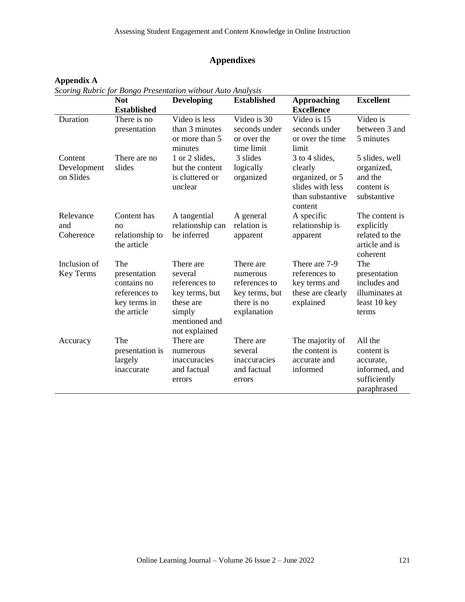# **Appendixes**

# **Appendix A**

*Scoring Rubric for Bongo Presentation without Auto Analysis*

|                                     | <b>Not</b><br><b>Established</b>                                                   | <b>Developing</b>                                                                                                | <b>Established</b>                                                                     | Approaching<br><b>Excellence</b>                                                                | <b>Excellent</b>                                                                   |
|-------------------------------------|------------------------------------------------------------------------------------|------------------------------------------------------------------------------------------------------------------|----------------------------------------------------------------------------------------|-------------------------------------------------------------------------------------------------|------------------------------------------------------------------------------------|
| Duration                            | There is no<br>presentation                                                        | Video is less<br>than 3 minutes<br>or more than 5<br>minutes                                                     | Video is 30<br>seconds under<br>or over the<br>time limit                              | Video is 15<br>seconds under<br>or over the time<br>limit                                       | Video is<br>between 3 and<br>5 minutes                                             |
| Content<br>Development<br>on Slides | There are no<br>slides                                                             | 1 or 2 slides,<br>but the content<br>is cluttered or<br>unclear                                                  | 3 slides<br>logically<br>organized                                                     | 3 to 4 slides,<br>clearly<br>organized, or 5<br>slides with less<br>than substantive<br>content | 5 slides, well<br>organized,<br>and the<br>content is<br>substantive               |
| Relevance<br>and<br>Coherence       | Content has<br>no<br>relationship to<br>the article                                | A tangential<br>relationship can<br>be inferred                                                                  | A general<br>relation is<br>apparent                                                   | A specific<br>relationship is<br>apparent                                                       | The content is<br>explicitly<br>related to the<br>article and is<br>coherent       |
| Inclusion of<br>Key Terms           | The<br>presentation<br>contains no<br>references to<br>key terms in<br>the article | There are<br>several<br>references to<br>key terms, but<br>these are<br>simply<br>mentioned and<br>not explained | There are<br>numerous<br>references to<br>key terms, but<br>there is no<br>explanation | There are 7-9<br>references to<br>key terms and<br>these are clearly<br>explained               | The<br>presentation<br>includes and<br>illuminates at<br>least 10 key<br>terms     |
| Accuracy                            | The<br>presentation is<br>largely<br>inaccurate                                    | There are<br>numerous<br>inaccuracies<br>and factual<br>errors                                                   | There are<br>several<br>inaccuracies<br>and factual<br>errors                          | The majority of<br>the content is<br>accurate and<br>informed                                   | All the<br>content is<br>accurate,<br>informed, and<br>sufficiently<br>paraphrased |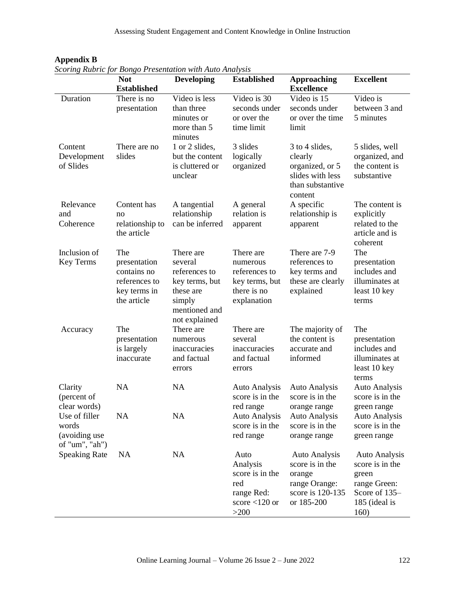|                                                           | <b>Not</b>                                                                         | <b>Developing</b>                                                                                                | <b>Established</b>                                                                     | <b>Approaching</b>                                                                                   | <b>Excellent</b>                                                                                           |
|-----------------------------------------------------------|------------------------------------------------------------------------------------|------------------------------------------------------------------------------------------------------------------|----------------------------------------------------------------------------------------|------------------------------------------------------------------------------------------------------|------------------------------------------------------------------------------------------------------------|
|                                                           | <b>Established</b>                                                                 |                                                                                                                  |                                                                                        | <b>Excellence</b>                                                                                    |                                                                                                            |
| Duration                                                  | There is no<br>presentation                                                        | Video is less<br>than three<br>minutes or<br>more than 5<br>minutes                                              | Video is 30<br>seconds under<br>or over the<br>time limit                              | Video is 15<br>seconds under<br>or over the time<br>limit                                            | Video is<br>between 3 and<br>5 minutes                                                                     |
| Content<br>Development<br>of Slides                       | There are no<br>slides                                                             | 1 or 2 slides,<br>but the content<br>is cluttered or<br>unclear                                                  | 3 slides<br>logically<br>organized                                                     | 3 to 4 slides,<br>clearly<br>organized, or 5<br>slides with less<br>than substantive<br>content      | 5 slides, well<br>organized, and<br>the content is<br>substantive                                          |
| Relevance<br>and<br>Coherence                             | Content has<br>no<br>relationship to<br>the article                                | A tangential<br>relationship<br>can be inferred                                                                  | A general<br>relation is<br>apparent                                                   | A specific<br>relationship is<br>apparent                                                            | The content is<br>explicitly<br>related to the<br>article and is<br>coherent                               |
| Inclusion of<br>Key Terms                                 | The<br>presentation<br>contains no<br>references to<br>key terms in<br>the article | There are<br>several<br>references to<br>key terms, but<br>these are<br>simply<br>mentioned and<br>not explained | There are<br>numerous<br>references to<br>key terms, but<br>there is no<br>explanation | There are 7-9<br>references to<br>key terms and<br>these are clearly<br>explained                    | The<br>presentation<br>includes and<br>illuminates at<br>least 10 key<br>terms                             |
| Accuracy                                                  | The<br>presentation<br>is largely<br>inaccurate                                    | There are<br>numerous<br>inaccuracies<br>and factual<br>errors                                                   | There are<br>several<br>inaccuracies<br>and factual<br>errors                          | The majority of<br>the content is<br>accurate and<br>informed                                        | The<br>presentation<br>includes and<br>illuminates at<br>least 10 key<br>terms                             |
| Clarity<br>(percent of<br>clear words)                    | <b>NA</b>                                                                          | NA                                                                                                               | <b>Auto Analysis</b><br>score is in the<br>red range                                   | <b>Auto Analysis</b><br>score is in the<br>orange range                                              | <b>Auto Analysis</b><br>score is in the<br>green range                                                     |
| Use of filler<br>words<br>(avoiding use<br>of "um", "ah") | NA                                                                                 | <b>NA</b>                                                                                                        | <b>Auto Analysis</b><br>score is in the<br>red range                                   | <b>Auto Analysis</b><br>score is in the<br>orange range                                              | <b>Auto Analysis</b><br>score is in the<br>green range                                                     |
| <b>Speaking Rate</b>                                      | <b>NA</b>                                                                          | <b>NA</b>                                                                                                        | Auto<br>Analysis<br>score is in the<br>red<br>range Red:<br>score $<$ 120 or<br>$>200$ | <b>Auto Analysis</b><br>score is in the<br>orange<br>range Orange:<br>score is 120-135<br>or 185-200 | <b>Auto Analysis</b><br>score is in the<br>green<br>range Green:<br>Score of 135-<br>185 (ideal is<br>160) |

**Appendix B** *Scoring Rubric for Bongo Presentation with Auto Analysis*